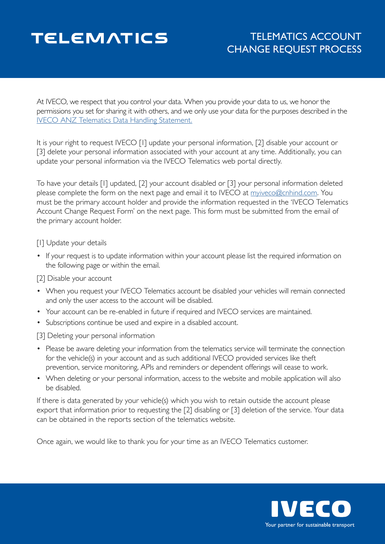# **TELEMATICS**

# TELEMATICS ACCOUNT CHANGE REQUEST PROCESS

At IVECO, we respect that you control your data. When you provide your data to us, we honor the permissions you set for sharing it with others, and we only use your data for the purposes described in the [IVECO ANZ Telematics Data Handling Statement.](https://www.iveco.com.au/Media/Default/Product/TELEMATICS/IVECO%20Data%20Handling%20Statement.pdf)

It is your right to request IVECO [1] update your personal information, [2] disable your account or [3] delete your personal information associated with your account at any time. Additionally, you can update your personal information via the IVECO Telematics web portal directly.

To have your details [1] updated, [2] your account disabled or [3] your personal information deleted please complete the form on the next page and email it to IVECO at [myiveco@cnhind.com.](mailto:myiveco%40cnhind.com?subject=) You must be the primary account holder and provide the information requested in the 'IVECO Telematics Account Change Request Form' on the next page. This form must be submitted from the email of the primary account holder.

## [I] Update your details

• If your request is to update information within your account please list the required information on the following page or within the email.

#### [2] Disable your account

- When you request your IVECO Telematics account be disabled your vehicles will remain connected and only the user access to the account will be disabled.
- Your account can be re-enabled in future if required and IVECO services are maintained.
- Subscriptions continue be used and expire in a disabled account.

[3] Deleting your personal information

- Please be aware deleting your information from the telematics service will terminate the connection for the vehicle(s) in your account and as such additional IVECO provided services like theft prevention, service monitoring, APIs and reminders or dependent offerings will cease to work.
- When deleting or your personal information, access to the website and mobile application will also be disabled.

If there is data generated by your vehicle(s) which you wish to retain outside the account please export that information prior to requesting the [2] disabling or [3] deletion of the service. Your data can be obtained in the reports section of the telematics website.

Once again, we would like to thank you for your time as an IVECO Telematics customer.